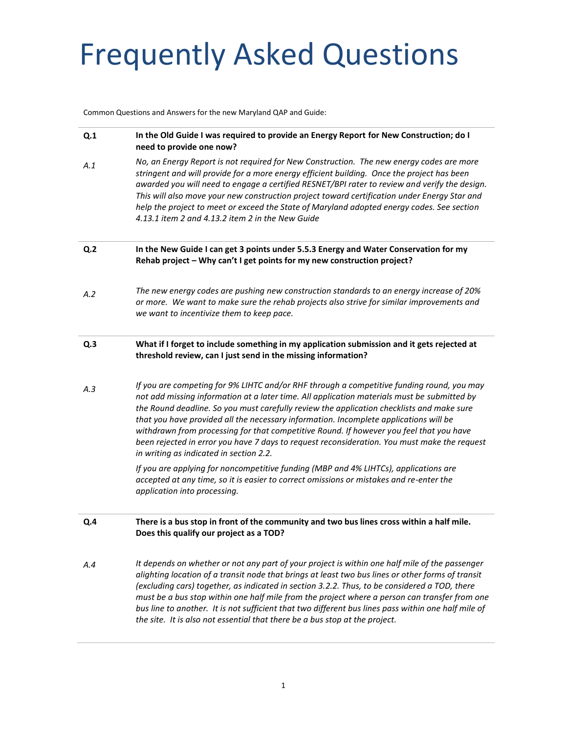Common Questions and Answers for the new Maryland QAP and Guide:

| Q <sub>1</sub> | In the Old Guide I was required to provide an Energy Report for New Construction; do I<br>need to provide one now?                                                                                                                                                                                                                                                                                                                                                                                                                                                                                                   |
|----------------|----------------------------------------------------------------------------------------------------------------------------------------------------------------------------------------------------------------------------------------------------------------------------------------------------------------------------------------------------------------------------------------------------------------------------------------------------------------------------------------------------------------------------------------------------------------------------------------------------------------------|
| A.1            | No, an Energy Report is not required for New Construction. The new energy codes are more<br>stringent and will provide for a more energy efficient building. Once the project has been<br>awarded you will need to engage a certified RESNET/BPI rater to review and verify the design.<br>This will also move your new construction project toward certification under Energy Star and<br>help the project to meet or exceed the State of Maryland adopted energy codes. See section<br>4.13.1 item 2 and 4.13.2 item 2 in the New Guide                                                                            |
| Q <sub>2</sub> | In the New Guide I can get 3 points under 5.5.3 Energy and Water Conservation for my<br>Rehab project - Why can't I get points for my new construction project?                                                                                                                                                                                                                                                                                                                                                                                                                                                      |
| A.2            | The new energy codes are pushing new construction standards to an energy increase of 20%<br>or more. We want to make sure the rehab projects also strive for similar improvements and<br>we want to incentivize them to keep pace.                                                                                                                                                                                                                                                                                                                                                                                   |
| Q.3            | What if I forget to include something in my application submission and it gets rejected at<br>threshold review, can I just send in the missing information?                                                                                                                                                                                                                                                                                                                                                                                                                                                          |
| A.3            | If you are competing for 9% LIHTC and/or RHF through a competitive funding round, you may<br>not add missing information at a later time. All application materials must be submitted by<br>the Round deadline. So you must carefully review the application checklists and make sure<br>that you have provided all the necessary information. Incomplete applications will be<br>withdrawn from processing for that competitive Round. If however you feel that you have<br>been rejected in error you have 7 days to request reconsideration. You must make the request<br>in writing as indicated in section 2.2. |
|                | If you are applying for noncompetitive funding (MBP and 4% LIHTCs), applications are<br>accepted at any time, so it is easier to correct omissions or mistakes and re-enter the<br>application into processing.                                                                                                                                                                                                                                                                                                                                                                                                      |
| Q.4            | There is a bus stop in front of the community and two bus lines cross within a half mile.<br>Does this qualify our project as a TOD?                                                                                                                                                                                                                                                                                                                                                                                                                                                                                 |
| A.4            | It depends on whether or not any part of your project is within one half mile of the passenger<br>alighting location of a transit node that brings at least two bus lines or other forms of transit<br>(excluding cars) together, as indicated in section 3.2.2. Thus, to be considered a TOD, there<br>must be a bus stop within one half mile from the project where a person can transfer from one<br>bus line to another. It is not sufficient that two different bus lines pass within one half mile of<br>the site. It is also not essential that there be a bus stop at the project.                          |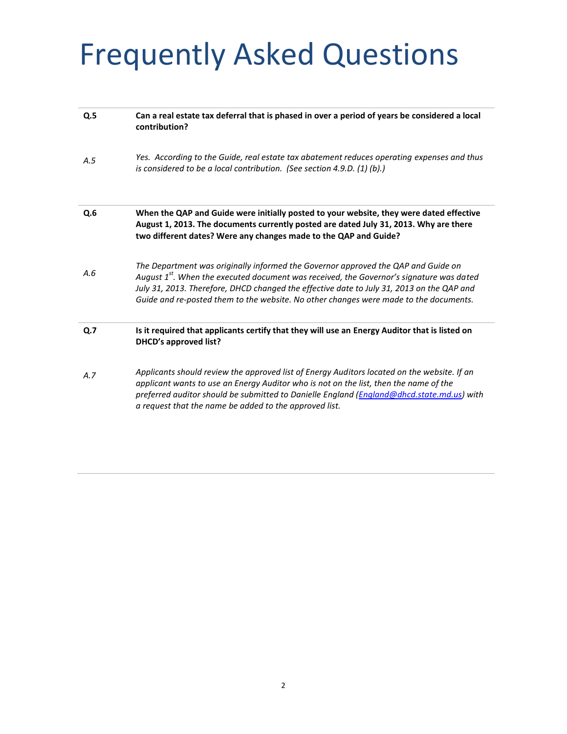| Can a real estate tax deferral that is phased in over a period of years be considered a local<br>contribution?                                                                                                                                                                                                                                                        |
|-----------------------------------------------------------------------------------------------------------------------------------------------------------------------------------------------------------------------------------------------------------------------------------------------------------------------------------------------------------------------|
| Yes. According to the Guide, real estate tax abatement reduces operating expenses and thus<br>is considered to be a local contribution. (See section 4.9.D. (1) (b).)                                                                                                                                                                                                 |
| When the QAP and Guide were initially posted to your website, they were dated effective<br>August 1, 2013. The documents currently posted are dated July 31, 2013. Why are there<br>two different dates? Were any changes made to the QAP and Guide?                                                                                                                  |
| The Department was originally informed the Governor approved the QAP and Guide on<br>August $1st$ . When the executed document was received, the Governor's signature was dated<br>July 31, 2013. Therefore, DHCD changed the effective date to July 31, 2013 on the QAP and<br>Guide and re-posted them to the website. No other changes were made to the documents. |
| Is it required that applicants certify that they will use an Energy Auditor that is listed on<br><b>DHCD's approved list?</b>                                                                                                                                                                                                                                         |
| Applicants should review the approved list of Energy Auditors located on the website. If an<br>applicant wants to use an Energy Auditor who is not on the list, then the name of the<br>preferred auditor should be submitted to Danielle England (England@dhcd.state.md.us) with<br>a request that the name be added to the approved list.                           |
|                                                                                                                                                                                                                                                                                                                                                                       |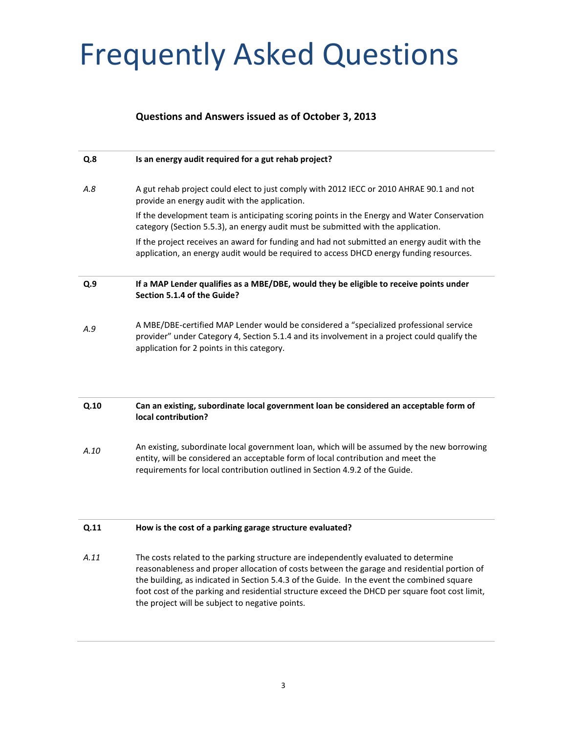#### **Questions and Answers issued as of October 3, 2013**

| Q.8  | Is an energy audit required for a gut rehab project?                                                                                                                                                                                                                                                                                                                                                                                  |
|------|---------------------------------------------------------------------------------------------------------------------------------------------------------------------------------------------------------------------------------------------------------------------------------------------------------------------------------------------------------------------------------------------------------------------------------------|
| A.8  | A gut rehab project could elect to just comply with 2012 IECC or 2010 AHRAE 90.1 and not<br>provide an energy audit with the application.                                                                                                                                                                                                                                                                                             |
|      | If the development team is anticipating scoring points in the Energy and Water Conservation<br>category (Section 5.5.3), an energy audit must be submitted with the application.                                                                                                                                                                                                                                                      |
|      | If the project receives an award for funding and had not submitted an energy audit with the<br>application, an energy audit would be required to access DHCD energy funding resources.                                                                                                                                                                                                                                                |
| Q.9  | If a MAP Lender qualifies as a MBE/DBE, would they be eligible to receive points under<br>Section 5.1.4 of the Guide?                                                                                                                                                                                                                                                                                                                 |
| A.9  | A MBE/DBE-certified MAP Lender would be considered a "specialized professional service<br>provider" under Category 4, Section 5.1.4 and its involvement in a project could qualify the<br>application for 2 points in this category.                                                                                                                                                                                                  |
| Q.10 | Can an existing, subordinate local government loan be considered an acceptable form of<br>local contribution?                                                                                                                                                                                                                                                                                                                         |
| A.10 | An existing, subordinate local government loan, which will be assumed by the new borrowing<br>entity, will be considered an acceptable form of local contribution and meet the<br>requirements for local contribution outlined in Section 4.9.2 of the Guide.                                                                                                                                                                         |
| Q.11 | How is the cost of a parking garage structure evaluated?                                                                                                                                                                                                                                                                                                                                                                              |
| A.11 | The costs related to the parking structure are independently evaluated to determine<br>reasonableness and proper allocation of costs between the garage and residential portion of<br>the building, as indicated in Section 5.4.3 of the Guide. In the event the combined square<br>foot cost of the parking and residential structure exceed the DHCD per square foot cost limit,<br>the project will be subject to negative points. |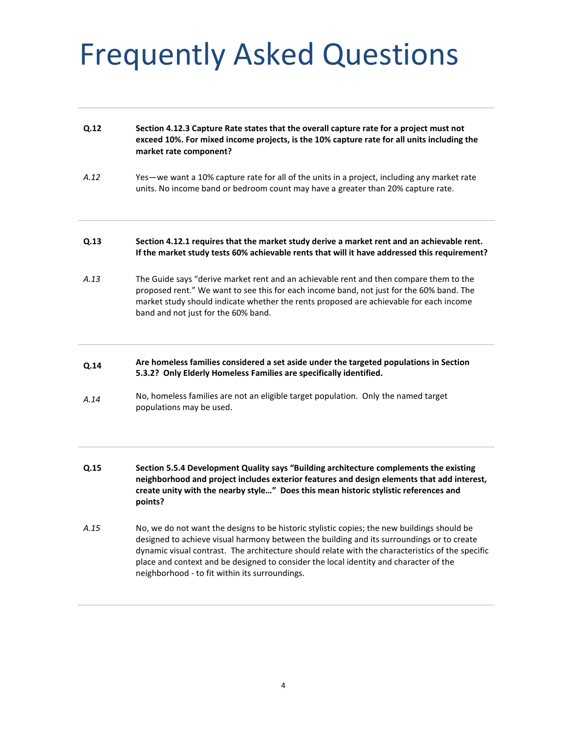| Q.12 | Section 4.12.3 Capture Rate states that the overall capture rate for a project must not<br>exceed 10%. For mixed income projects, is the 10% capture rate for all units including the<br>market rate component?                                                                                                     |
|------|---------------------------------------------------------------------------------------------------------------------------------------------------------------------------------------------------------------------------------------------------------------------------------------------------------------------|
| A.12 | Yes—we want a 10% capture rate for all of the units in a project, including any market rate<br>units. No income band or bedroom count may have a greater than 20% capture rate.                                                                                                                                     |
| Q.13 | Section 4.12.1 requires that the market study derive a market rent and an achievable rent.<br>If the market study tests 60% achievable rents that will it have addressed this requirement?                                                                                                                          |
| A.13 | The Guide says "derive market rent and an achievable rent and then compare them to the<br>proposed rent." We want to see this for each income band, not just for the 60% band. The<br>market study should indicate whether the rents proposed are achievable for each income<br>band and not just for the 60% band. |
| Q.14 | Are homeless families considered a set aside under the targeted populations in Section<br>5.3.2? Only Elderly Homeless Families are specifically identified.                                                                                                                                                        |
| A.14 | No, homeless families are not an eligible target population. Only the named target<br>populations may be used.                                                                                                                                                                                                      |
|      |                                                                                                                                                                                                                                                                                                                     |

- **Q.15 Section 5.5.4 Development Quality says "Building architecture complements the existing neighborhood and project includes exterior features and design elements that add interest, create unity with the nearby style…" Does this mean historic stylistic references and points?**
- *A.15* No, we do not want the designs to be historic stylistic copies; the new buildings should be designed to achieve visual harmony between the building and its surroundings or to create dynamic visual contrast. The architecture should relate with the characteristics of the specific place and context and be designed to consider the local identity and character of the neighborhood - to fit within its surroundings.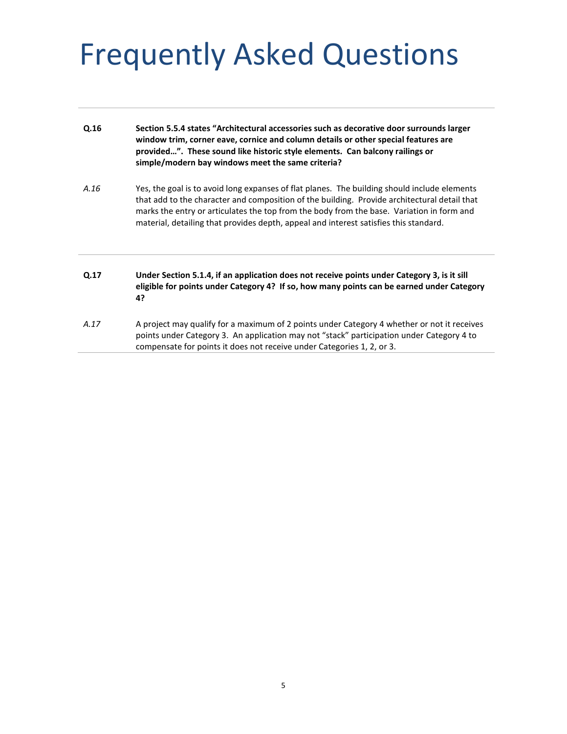| Q.16 | Section 5.5.4 states "Architectural accessories such as decorative door surrounds larger<br>window trim, corner eave, cornice and column details or other special features are<br>provided". These sound like historic style elements. Can balcony railings or<br>simple/modern bay windows meet the same criteria?                                                                |
|------|------------------------------------------------------------------------------------------------------------------------------------------------------------------------------------------------------------------------------------------------------------------------------------------------------------------------------------------------------------------------------------|
| A.16 | Yes, the goal is to avoid long expanses of flat planes. The building should include elements<br>that add to the character and composition of the building. Provide architectural detail that<br>marks the entry or articulates the top from the body from the base. Variation in form and<br>material, detailing that provides depth, appeal and interest satisfies this standard. |
| Q.17 | Under Section 5.1.4, if an application does not receive points under Category 3, is it sill<br>eligible for points under Category 4? If so, how many points can be earned under Category<br>4?                                                                                                                                                                                     |
| A.17 | A project may qualify for a maximum of 2 points under Category 4 whether or not it receives<br>points under Category 3. An application may not "stack" participation under Category 4 to<br>compensate for points it does not receive under Categories 1, 2, or 3.                                                                                                                 |
|      |                                                                                                                                                                                                                                                                                                                                                                                    |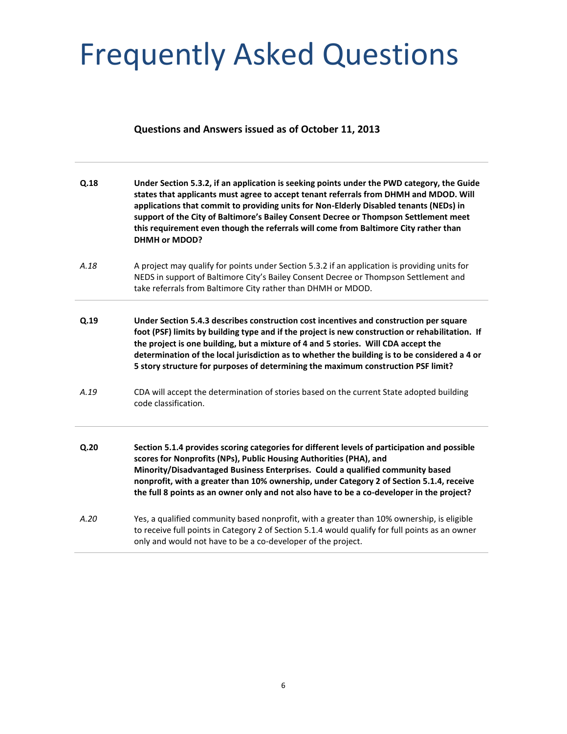### **Questions and Answers issued as of October 11, 2013**

| Q.18 | Under Section 5.3.2, if an application is seeking points under the PWD category, the Guide<br>states that applicants must agree to accept tenant referrals from DHMH and MDOD. Will<br>applications that commit to providing units for Non-Elderly Disabled tenants (NEDs) in<br>support of the City of Baltimore's Bailey Consent Decree or Thompson Settlement meet<br>this requirement even though the referrals will come from Baltimore City rather than<br><b>DHMH or MDOD?</b> |
|------|---------------------------------------------------------------------------------------------------------------------------------------------------------------------------------------------------------------------------------------------------------------------------------------------------------------------------------------------------------------------------------------------------------------------------------------------------------------------------------------|
| A.18 | A project may qualify for points under Section 5.3.2 if an application is providing units for<br>NEDS in support of Baltimore City's Bailey Consent Decree or Thompson Settlement and<br>take referrals from Baltimore City rather than DHMH or MDOD.                                                                                                                                                                                                                                 |
| Q.19 | Under Section 5.4.3 describes construction cost incentives and construction per square<br>foot (PSF) limits by building type and if the project is new construction or rehabilitation. If<br>the project is one building, but a mixture of 4 and 5 stories. Will CDA accept the<br>determination of the local jurisdiction as to whether the building is to be considered a 4 or<br>5 story structure for purposes of determining the maximum construction PSF limit?                 |
| A.19 | CDA will accept the determination of stories based on the current State adopted building<br>code classification.                                                                                                                                                                                                                                                                                                                                                                      |
| Q.20 | Section 5.1.4 provides scoring categories for different levels of participation and possible<br>scores for Nonprofits (NPs), Public Housing Authorities (PHA), and<br>Minority/Disadvantaged Business Enterprises. Could a qualified community based<br>nonprofit, with a greater than 10% ownership, under Category 2 of Section 5.1.4, receive<br>the full 8 points as an owner only and not also have to be a co-developer in the project?                                         |
| A.20 | Yes, a qualified community based nonprofit, with a greater than 10% ownership, is eligible<br>to receive full points in Category 2 of Section 5.1.4 would qualify for full points as an owner<br>only and would not have to be a co-developer of the project.                                                                                                                                                                                                                         |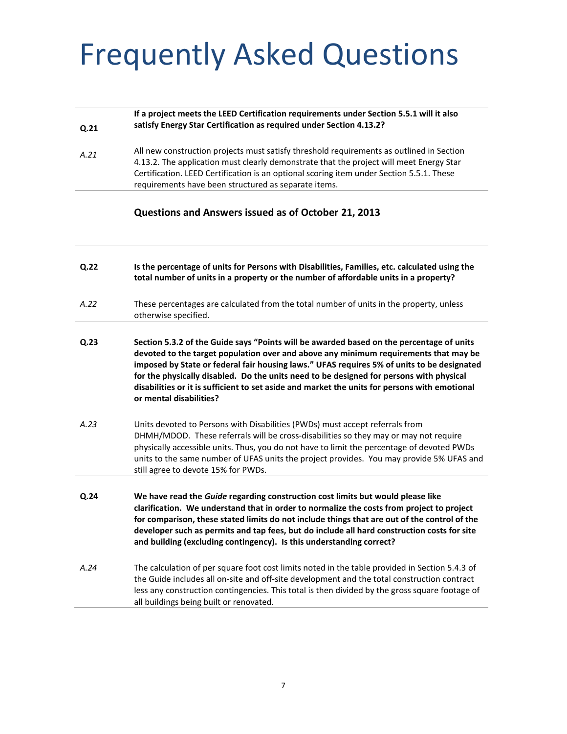| Q.21 | If a project meets the LEED Certification requirements under Section 5.5.1 will it also<br>satisfy Energy Star Certification as required under Section 4.13.2?                                                                                                                                                                                                                                                                                                                                        |
|------|-------------------------------------------------------------------------------------------------------------------------------------------------------------------------------------------------------------------------------------------------------------------------------------------------------------------------------------------------------------------------------------------------------------------------------------------------------------------------------------------------------|
| A.21 | All new construction projects must satisfy threshold requirements as outlined in Section<br>4.13.2. The application must clearly demonstrate that the project will meet Energy Star<br>Certification. LEED Certification is an optional scoring item under Section 5.5.1. These<br>requirements have been structured as separate items.                                                                                                                                                               |
|      | Questions and Answers issued as of October 21, 2013                                                                                                                                                                                                                                                                                                                                                                                                                                                   |
| Q.22 | Is the percentage of units for Persons with Disabilities, Families, etc. calculated using the<br>total number of units in a property or the number of affordable units in a property?                                                                                                                                                                                                                                                                                                                 |
| A.22 | These percentages are calculated from the total number of units in the property, unless<br>otherwise specified.                                                                                                                                                                                                                                                                                                                                                                                       |
| Q.23 | Section 5.3.2 of the Guide says "Points will be awarded based on the percentage of units<br>devoted to the target population over and above any minimum requirements that may be<br>imposed by State or federal fair housing laws." UFAS requires 5% of units to be designated<br>for the physically disabled. Do the units need to be designed for persons with physical<br>disabilities or it is sufficient to set aside and market the units for persons with emotional<br>or mental disabilities? |
| A.23 | Units devoted to Persons with Disabilities (PWDs) must accept referrals from<br>DHMH/MDOD. These referrals will be cross-disabilities so they may or may not require<br>physically accessible units. Thus, you do not have to limit the percentage of devoted PWDs<br>units to the same number of UFAS units the project provides. You may provide 5% UFAS and<br>still agree to devote 15% for PWDs.                                                                                                 |
| Q.24 | We have read the Guide regarding construction cost limits but would please like<br>clarification. We understand that in order to normalize the costs from project to project<br>for comparison, these stated limits do not include things that are out of the control of the<br>developer such as permits and tap fees, but do include all hard construction costs for site<br>and building (excluding contingency). Is this understanding correct?                                                   |
| A.24 | The calculation of per square foot cost limits noted in the table provided in Section 5.4.3 of<br>the Guide includes all on-site and off-site development and the total construction contract<br>less any construction contingencies. This total is then divided by the gross square footage of<br>all buildings being built or renovated.                                                                                                                                                            |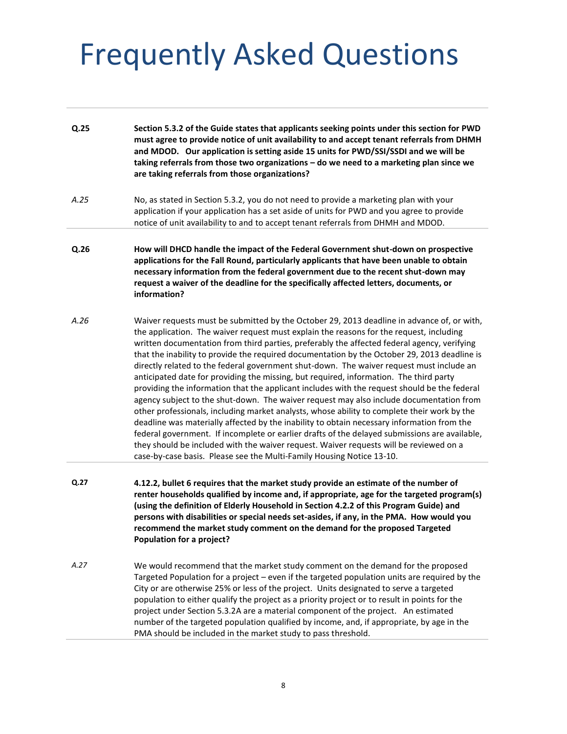| Q.25 | Section 5.3.2 of the Guide states that applicants seeking points under this section for PWD<br>must agree to provide notice of unit availability to and accept tenant referrals from DHMH<br>and MDOD. Our application is setting aside 15 units for PWD/SSI/SSDI and we will be<br>taking referrals from those two organizations - do we need to a marketing plan since we<br>are taking referrals from those organizations?                                                                                                                                                                                                                                                                                                                                                                                                                                                                                                                                                                                                                                                                                                                                                                                                          |
|------|----------------------------------------------------------------------------------------------------------------------------------------------------------------------------------------------------------------------------------------------------------------------------------------------------------------------------------------------------------------------------------------------------------------------------------------------------------------------------------------------------------------------------------------------------------------------------------------------------------------------------------------------------------------------------------------------------------------------------------------------------------------------------------------------------------------------------------------------------------------------------------------------------------------------------------------------------------------------------------------------------------------------------------------------------------------------------------------------------------------------------------------------------------------------------------------------------------------------------------------|
| A.25 | No, as stated in Section 5.3.2, you do not need to provide a marketing plan with your<br>application if your application has a set aside of units for PWD and you agree to provide<br>notice of unit availability to and to accept tenant referrals from DHMH and MDOD.                                                                                                                                                                                                                                                                                                                                                                                                                                                                                                                                                                                                                                                                                                                                                                                                                                                                                                                                                                |
| Q.26 | How will DHCD handle the impact of the Federal Government shut-down on prospective<br>applications for the Fall Round, particularly applicants that have been unable to obtain<br>necessary information from the federal government due to the recent shut-down may<br>request a waiver of the deadline for the specifically affected letters, documents, or<br>information?                                                                                                                                                                                                                                                                                                                                                                                                                                                                                                                                                                                                                                                                                                                                                                                                                                                           |
| A.26 | Waiver requests must be submitted by the October 29, 2013 deadline in advance of, or with,<br>the application. The waiver request must explain the reasons for the request, including<br>written documentation from third parties, preferably the affected federal agency, verifying<br>that the inability to provide the required documentation by the October 29, 2013 deadline is<br>directly related to the federal government shut-down. The waiver request must include an<br>anticipated date for providing the missing, but required, information. The third party<br>providing the information that the applicant includes with the request should be the federal<br>agency subject to the shut-down. The waiver request may also include documentation from<br>other professionals, including market analysts, whose ability to complete their work by the<br>deadline was materially affected by the inability to obtain necessary information from the<br>federal government. If incomplete or earlier drafts of the delayed submissions are available,<br>they should be included with the waiver request. Waiver requests will be reviewed on a<br>case-by-case basis. Please see the Multi-Family Housing Notice 13-10. |
| Q.27 | 4.12.2, bullet 6 requires that the market study provide an estimate of the number of<br>renter households qualified by income and, if appropriate, age for the targeted program(s)<br>(using the definition of Elderly Household in Section 4.2.2 of this Program Guide) and<br>persons with disabilities or special needs set-asides, if any, in the PMA. How would you<br>recommend the market study comment on the demand for the proposed Targeted<br>Population for a project?                                                                                                                                                                                                                                                                                                                                                                                                                                                                                                                                                                                                                                                                                                                                                    |
| A.27 | We would recommend that the market study comment on the demand for the proposed<br>Targeted Population for a project - even if the targeted population units are required by the<br>City or are otherwise 25% or less of the project. Units designated to serve a targeted<br>population to either qualify the project as a priority project or to result in points for the<br>project under Section 5.3.2A are a material component of the project. An estimated<br>number of the targeted population qualified by income, and, if appropriate, by age in the<br>PMA should be included in the market study to pass threshold.                                                                                                                                                                                                                                                                                                                                                                                                                                                                                                                                                                                                        |